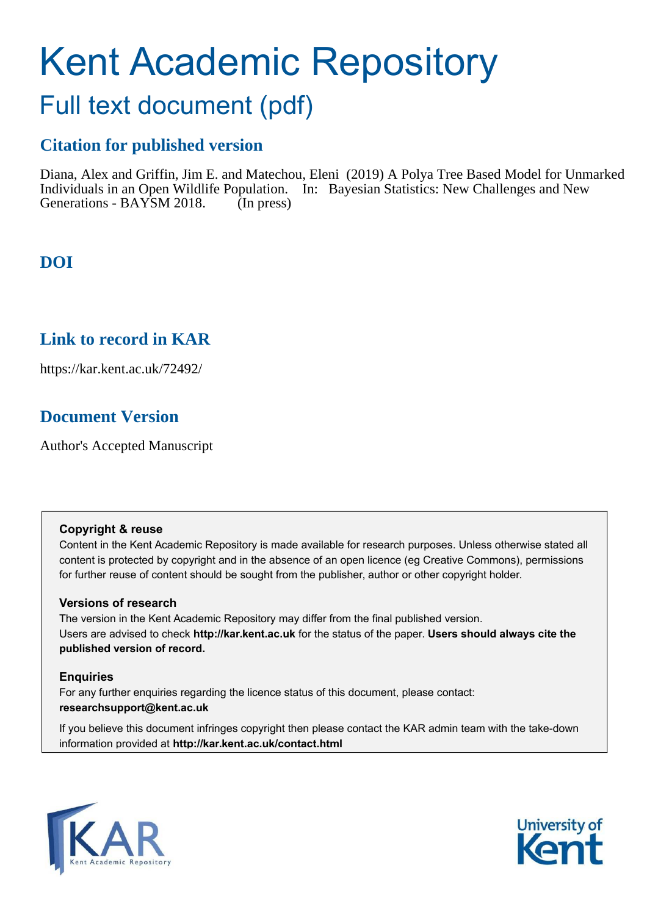# Kent Academic Repository

## Full text document (pdf)

## **Citation for published version**

Diana, Alex and Griffin, Jim E. and Matechou, Eleni (2019) A Polya Tree Based Model for Unmarked Individuals in an Open Wildlife Population. In: Bayesian Statistics: New Challenges and New Generations - BAYSM 2018. (In press)

## **DOI**

## **Link to record in KAR**

https://kar.kent.ac.uk/72492/

## **Document Version**

Author's Accepted Manuscript

## **Copyright & reuse**

Content in the Kent Academic Repository is made available for research purposes. Unless otherwise stated all content is protected by copyright and in the absence of an open licence (eg Creative Commons), permissions for further reuse of content should be sought from the publisher, author or other copyright holder.

## **Versions of research**

The version in the Kent Academic Repository may differ from the final published version. Users are advised to check **http://kar.kent.ac.uk** for the status of the paper. **Users should always cite the published version of record.**

## **Enquiries**

For any further enquiries regarding the licence status of this document, please contact: **researchsupport@kent.ac.uk**

If you believe this document infringes copyright then please contact the KAR admin team with the take-down information provided at **http://kar.kent.ac.uk/contact.html**



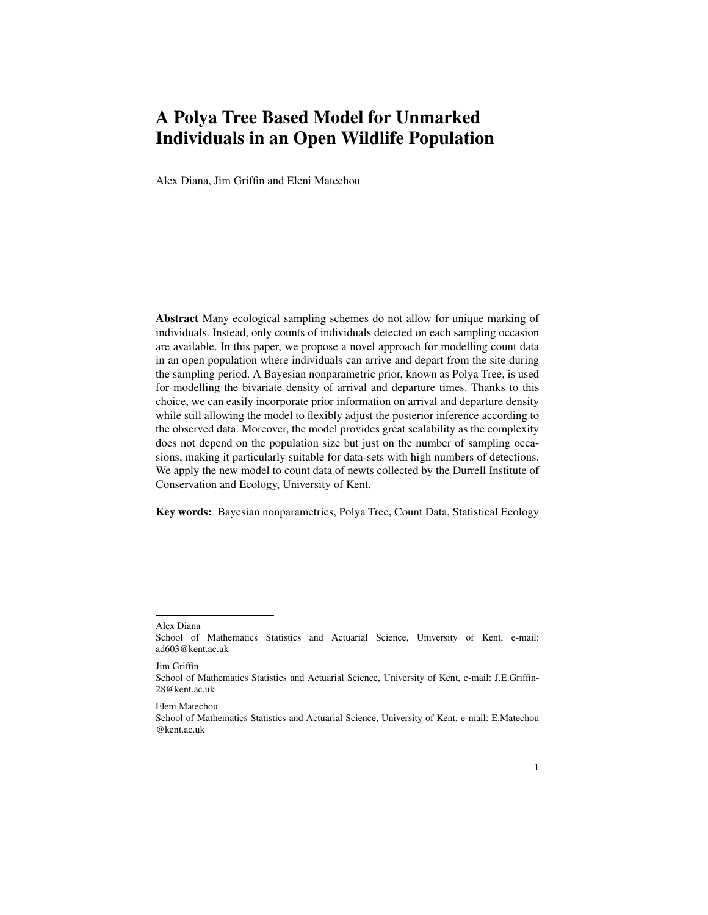## A Polya Tree Based Model for Unmarked Individuals in an Open Wildlife Population

Alex Diana, Jim Griffin and Eleni Matechou

Abstract Many ecological sampling schemes do not allow for unique marking of individuals. Instead, only counts of individuals detected on each sampling occasion are available. In this paper, we propose a novel approach for modelling count data in an open population where individuals can arrive and depart from the site during the sampling period. A Bayesian nonparametric prior, known as Polya Tree, is used for modelling the bivariate density of arrival and departure times. Thanks to this choice, we can easily incorporate prior information on arrival and departure density while still allowing the model to flexibly adjust the posterior inference according to the observed data. Moreover, the model provides great scalability as the complexity does not depend on the population size but just on the number of sampling occasions, making it particularly suitable for data-sets with high numbers of detections. We apply the new model to count data of newts collected by the Durrell Institute of Conservation and Ecology, University of Kent.

Key words: Bayesian nonparametrics, Polya Tree, Count Data, Statistical Ecology

Jim Griffin

Alex Diana

School of Mathematics Statistics and Actuarial Science, University of Kent, e-mail: ad603@kent.ac.uk

School of Mathematics Statistics and Actuarial Science, University of Kent, e-mail: J.E.Griffin-28@kent.ac.uk

Eleni Matechou

School of Mathematics Statistics and Actuarial Science, University of Kent, e-mail: E.Matechou @kent.ac.uk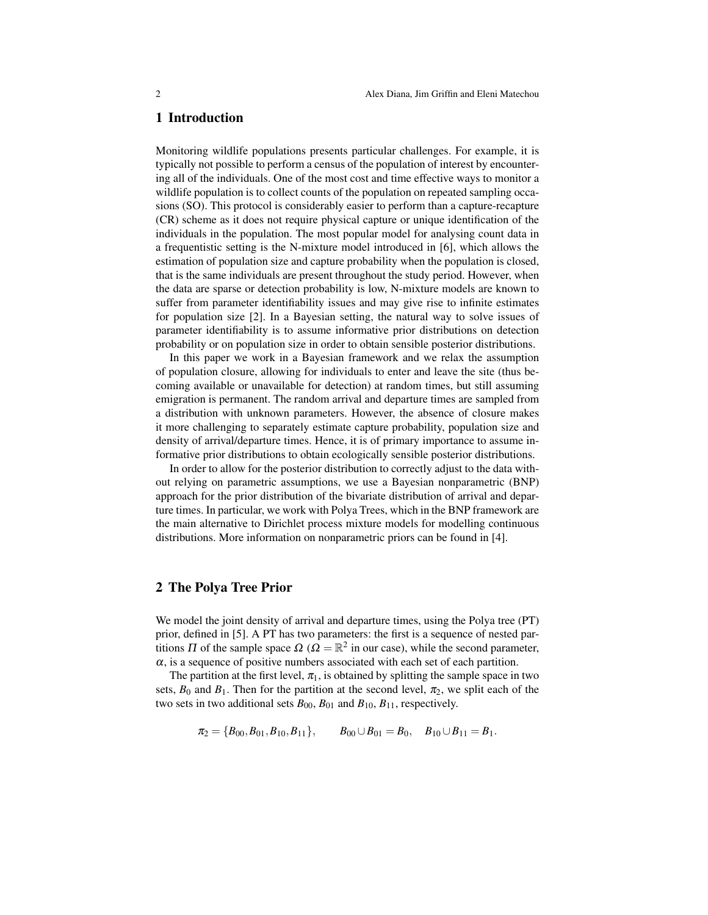#### 1 Introduction

Monitoring wildlife populations presents particular challenges. For example, it is typically not possible to perform a census of the population of interest by encountering all of the individuals. One of the most cost and time effective ways to monitor a wildlife population is to collect counts of the population on repeated sampling occasions (SO). This protocol is considerably easier to perform than a capture-recapture (CR) scheme as it does not require physical capture or unique identification of the individuals in the population. The most popular model for analysing count data in a frequentistic setting is the N-mixture model introduced in [6], which allows the estimation of population size and capture probability when the population is closed, that is the same individuals are present throughout the study period. However, when the data are sparse or detection probability is low, N-mixture models are known to suffer from parameter identifiability issues and may give rise to infinite estimates for population size [2]. In a Bayesian setting, the natural way to solve issues of parameter identifiability is to assume informative prior distributions on detection probability or on population size in order to obtain sensible posterior distributions.

In this paper we work in a Bayesian framework and we relax the assumption of population closure, allowing for individuals to enter and leave the site (thus becoming available or unavailable for detection) at random times, but still assuming emigration is permanent. The random arrival and departure times are sampled from a distribution with unknown parameters. However, the absence of closure makes it more challenging to separately estimate capture probability, population size and density of arrival/departure times. Hence, it is of primary importance to assume informative prior distributions to obtain ecologically sensible posterior distributions.

In order to allow for the posterior distribution to correctly adjust to the data without relying on parametric assumptions, we use a Bayesian nonparametric (BNP) approach for the prior distribution of the bivariate distribution of arrival and departure times. In particular, we work with Polya Trees, which in the BNP framework are the main alternative to Dirichlet process mixture models for modelling continuous distributions. More information on nonparametric priors can be found in [4].

#### 2 The Polya Tree Prior

We model the joint density of arrival and departure times, using the Polya tree (PT) prior, defined in [5]. A PT has two parameters: the first is a sequence of nested partitions  $\Pi$  of the sample space  $\Omega$  ( $\Omega = \mathbb{R}^2$  in our case), while the second parameter,  $\alpha$ , is a sequence of positive numbers associated with each set of each partition.

The partition at the first level,  $\pi_1$ , is obtained by splitting the sample space in two sets,  $B_0$  and  $B_1$ . Then for the partition at the second level,  $\pi_2$ , we split each of the two sets in two additional sets  $B_{00}$ ,  $B_{01}$  and  $B_{10}$ ,  $B_{11}$ , respectively.

$$
\pi_2 = \{B_{00}, B_{01}, B_{10}, B_{11}\}, \qquad B_{00} \cup B_{01} = B_0, \quad B_{10} \cup B_{11} = B_1.
$$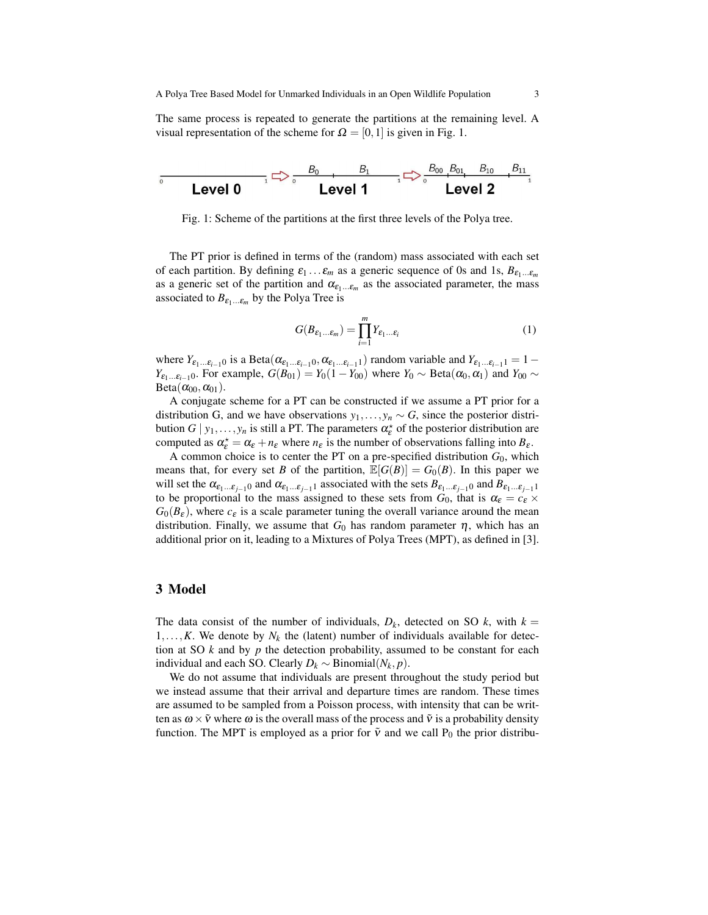A Polya Tree Based Model for Unmarked Individuals in an Open Wildlife Population 3

The same process is repeated to generate the partitions at the remaining level. A visual representation of the scheme for  $\Omega = [0,1]$  is given in Fig. 1.



Fig. 1: Scheme of the partitions at the first three levels of the Polya tree.

The PT prior is defined in terms of the (random) mass associated with each set of each partition. By defining  $\varepsilon_1 \dots \varepsilon_m$  as a generic sequence of 0s and 1s,  $B_{\varepsilon_1 \dots \varepsilon_m}$ as a generic set of the partition and  $\alpha_{\varepsilon_1...\varepsilon_m}$  as the associated parameter, the mass associated to  $B_{\varepsilon_1...\varepsilon_m}$  by the Polya Tree is

$$
G(B_{\varepsilon_1...\varepsilon_m}) = \prod_{i=1}^m Y_{\varepsilon_1...\varepsilon_i}
$$
 (1)

where  $Y_{\varepsilon_1...\varepsilon_{i-1}0}$  is a Beta $(\alpha_{\varepsilon_1...\varepsilon_{i-1}0},\alpha_{\varepsilon_1...\varepsilon_{i-1}1})$  random variable and  $Y_{\varepsilon_1...\varepsilon_{i-1}1}=1-$ *Y*<sub>ε1</sub>...ε<sub>*i*-1</sub>0. For example,  $G(B_{01}) = Y_0(1 - Y_{00})$  where  $Y_0 \sim \text{Beta}(\alpha_0, \alpha_1)$  and  $Y_{00} \sim$  $Beta(\alpha_{00}, \alpha_{01}).$ 

A conjugate scheme for a PT can be constructed if we assume a PT prior for a distribution G, and we have observations  $y_1, \ldots, y_n \sim G$ , since the posterior distribution  $G | y_1,..., y_n$  is still a PT. The parameters  $\alpha_{\varepsilon}^*$  of the posterior distribution are computed as  $\alpha_{\varepsilon}^* = \alpha_{\varepsilon} + n_{\varepsilon}$  where  $n_{\varepsilon}$  is the number of observations falling into  $B_{\varepsilon}$ .

A common choice is to center the PT on a pre-specified distribution  $G_0$ , which means that, for every set *B* of the partition,  $\mathbb{E}[G(B)] = G_0(B)$ . In this paper we will set the  $\alpha_{\epsilon_1...\epsilon_{i-1}0}$  and  $\alpha_{\epsilon_1...\epsilon_{i-1}1}$  associated with the sets  $B_{\epsilon_1...\epsilon_{i-1}0}$  and  $B_{\epsilon_1...\epsilon_{i-1}1}$ to be proportional to the mass assigned to these sets from  $G_0$ , that is  $\alpha_{\varepsilon} = c_{\varepsilon} \times$  $G_0(B_\varepsilon)$ , where  $c_\varepsilon$  is a scale parameter tuning the overall variance around the mean distribution. Finally, we assume that  $G_0$  has random parameter  $\eta$ , which has an additional prior on it, leading to a Mixtures of Polya Trees (MPT), as defined in [3].

#### 3 Model

The data consist of the number of individuals,  $D_k$ , detected on SO  $k$ , with  $k =$  $1, \ldots, K$ . We denote by  $N_k$  the (latent) number of individuals available for detection at SO *k* and by *p* the detection probability, assumed to be constant for each individual and each SO. Clearly *D<sup>k</sup>* ∼ Binomial(*N<sup>k</sup>* , *p*).

We do not assume that individuals are present throughout the study period but we instead assume that their arrival and departure times are random. These times are assumed to be sampled from a Poisson process, with intensity that can be written as  $\omega \times \tilde{v}$  where  $\omega$  is the overall mass of the process and  $\tilde{v}$  is a probability density function. The MPT is employed as a prior for  $\tilde{v}$  and we call P<sub>0</sub> the prior distribu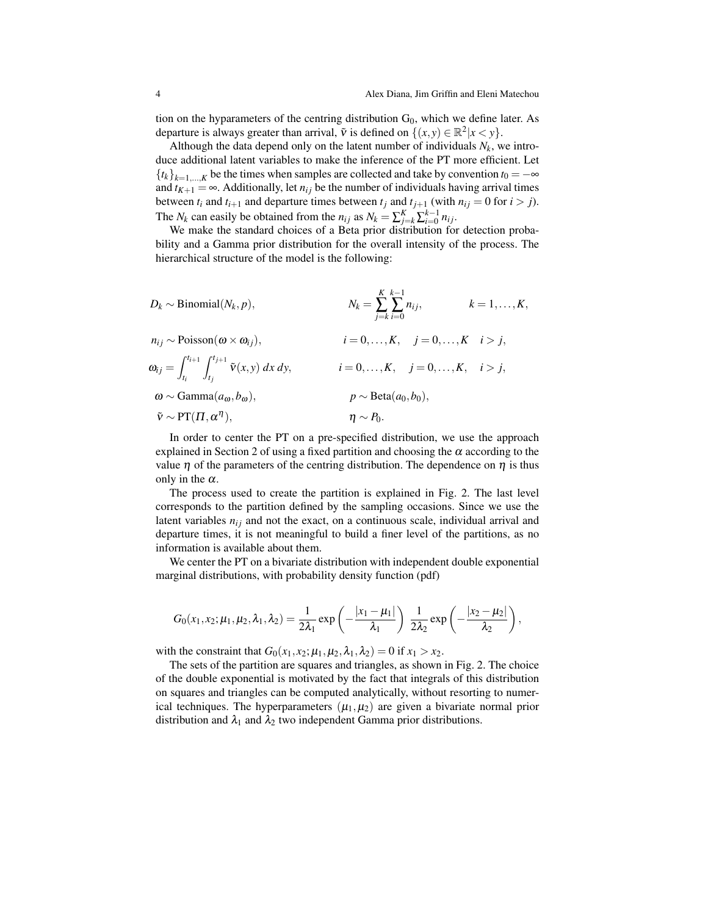tion on the hyparameters of the centring distribution  $G_0$ , which we define later. As departure is always greater than arrival,  $\tilde{v}$  is defined on  $\{(x, y) \in \mathbb{R}^2 | x < y\}$ .

Although the data depend only on the latent number of individuals  $N_k$ , we introduce additional latent variables to make the inference of the PT more efficient. Let  ${t_k}_{k=1,\dots,K}$  be the times when samples are collected and take by convention  $t_0 = -\infty$ and  $t_{K+1} = \infty$ . Additionally, let  $n_{ij}$  be the number of individuals having arrival times between  $t_i$  and  $t_{i+1}$  and departure times between  $t_j$  and  $t_{j+1}$  (with  $n_{ij} = 0$  for  $i > j$ ). The *N<sub>k</sub>* can easily be obtained from the *n*<sub>*i*</sub> as  $N_k = \sum_{j=k}^{K} \sum_{i=0}^{k-1} n_{ij}$ .

We make the standard choices of a Beta prior distribution for detection probability and a Gamma prior distribution for the overall intensity of the process. The hierarchical structure of the model is the following:

| $D_k \sim \text{Binomial}(N_k, p),$                                              | $K \; k-1$<br>$N_k = \sum \sum n_{ij},$<br>$k=1,\ldots,K,$<br>$i=k i=0$ |
|----------------------------------------------------------------------------------|-------------------------------------------------------------------------|
| $n_{ij} \sim \text{Poisson}(\omega \times \omega_{ij}),$                         | $i = 0, \ldots, K, \quad j = 0, \ldots, K \quad i > j,$                 |
| $\omega_{ij} = \int_{t_i}^{t_{i+1}} \int_{t_i}^{t_{j+1}} \tilde{v}(x, y) dx dy,$ | $i = 0, \ldots, K, \quad j = 0, \ldots, K, \quad i > j,$                |
| $\omega \sim \text{Gamma}(a_{\omega}, b_{\omega}),$                              | $p \sim \text{Beta}(a_0, b_0),$                                         |
| $\tilde{v} \sim PT(\Pi, \alpha^{\eta}),$                                         | $\eta \sim P_0$ .                                                       |

In order to center the PT on a pre-specified distribution, we use the approach explained in Section 2 of using a fixed partition and choosing the  $\alpha$  according to the value  $\eta$  of the parameters of the centring distribution. The dependence on  $\eta$  is thus only in the  $\alpha$ .

The process used to create the partition is explained in Fig. 2. The last level corresponds to the partition defined by the sampling occasions. Since we use the latent variables  $n<sub>ij</sub>$  and not the exact, on a continuous scale, individual arrival and departure times, it is not meaningful to build a finer level of the partitions, as no information is available about them.

We center the PT on a bivariate distribution with independent double exponential marginal distributions, with probability density function (pdf)

$$
G_0(x_1,x_2;\mu_1,\mu_2,\lambda_1,\lambda_2)=\frac{1}{2\lambda_1}\exp\left(-\frac{|x_1-\mu_1|}{\lambda_1}\right)\,\frac{1}{2\lambda_2}\exp\left(-\frac{|x_2-\mu_2|}{\lambda_2}\right),
$$

with the constraint that  $G_0(x_1, x_2; \mu_1, \mu_2, \lambda_1, \lambda_2) = 0$  if  $x_1 > x_2$ .

The sets of the partition are squares and triangles, as shown in Fig. 2. The choice of the double exponential is motivated by the fact that integrals of this distribution on squares and triangles can be computed analytically, without resorting to numerical techniques. The hyperparameters  $(\mu_1, \mu_2)$  are given a bivariate normal prior distribution and  $\lambda_1$  and  $\lambda_2$  two independent Gamma prior distributions.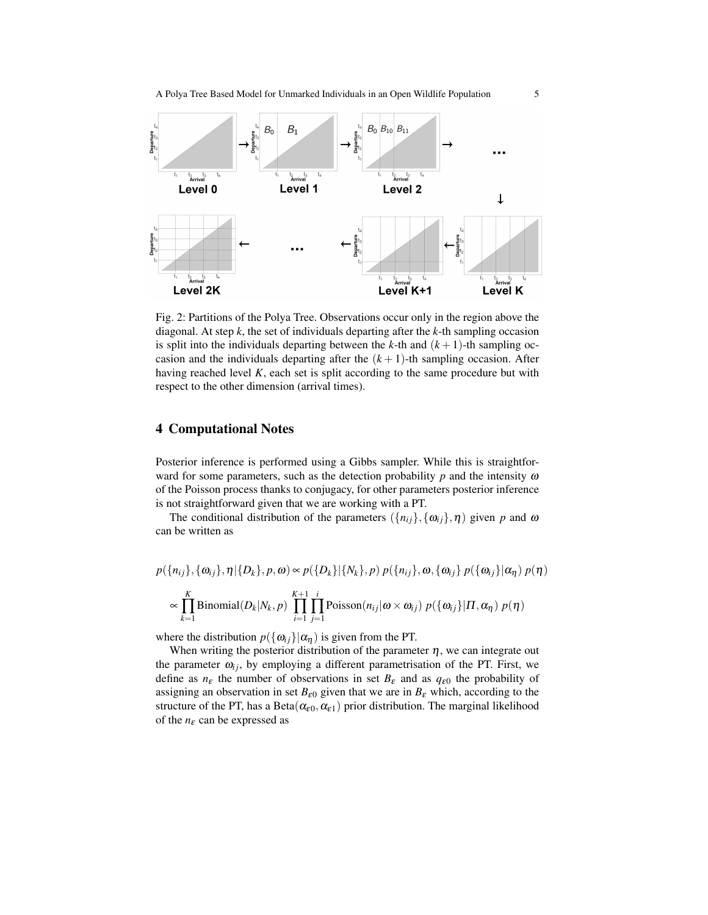A Polya Tree Based Model for Unmarked Individuals in an Open Wildlife Population 5



Fig. 2: Partitions of the Polya Tree. Observations occur only in the region above the diagonal. At step *k*, the set of individuals departing after the *k*-th sampling occasion is split into the individuals departing between the  $k$ -th and  $(k + 1)$ -th sampling occasion and the individuals departing after the  $(k+1)$ -th sampling occasion. After having reached level *K*, each set is split according to the same procedure but with respect to the other dimension (arrival times).

### 4 Computational Notes

Posterior inference is performed using a Gibbs sampler. While this is straightforward for some parameters, such as the detection probability  $p$  and the intensity  $\omega$ of the Poisson process thanks to conjugacy, for other parameters posterior inference is not straightforward given that we are working with a PT.

The conditional distribution of the parameters  $({n_i}_j, {o_i}_j, \eta)$  given *p* and  $\omega$ can be written as

$$
p(\lbrace n_{ij} \rbrace, \lbrace \omega_{ij} \rbrace, \eta | \lbrace D_k \rbrace, p, \omega) \propto p(\lbrace D_k \rbrace | \lbrace N_k \rbrace, p) p(\lbrace n_{ij} \rbrace, \omega, \lbrace \omega_{ij} \rbrace p(\lbrace \omega_{ij} \rbrace | \alpha_{\eta}) p(\eta)
$$

$$
\propto \prod_{k=1}^{K} \text{Binomial}(D_k | N_k, p) \prod_{i=1}^{K+1} \prod_{j=1}^{i} \text{Poisson}(n_{ij} | \omega \times \omega_{ij}) p(\lbrace \omega_{ij} \rbrace | \Pi, \alpha_{\eta}) p(\eta)
$$

where the distribution  $p(\{\omega_{ij}\}|\alpha_n)$  is given from the PT.

When writing the posterior distribution of the parameter  $\eta$ , we can integrate out the parameter  $\omega_{ij}$ , by employing a different parametrisation of the PT. First, we define as  $n_{\varepsilon}$  the number of observations in set  $B_{\varepsilon}$  and as  $q_{\varepsilon 0}$  the probability of assigning an observation in set  $B_{\varepsilon 0}$  given that we are in  $B_{\varepsilon}$  which, according to the structure of the PT, has a Beta $(\alpha_{\varepsilon 0}, \alpha_{\varepsilon 1})$  prior distribution. The marginal likelihood of the  $n_{\varepsilon}$  can be expressed as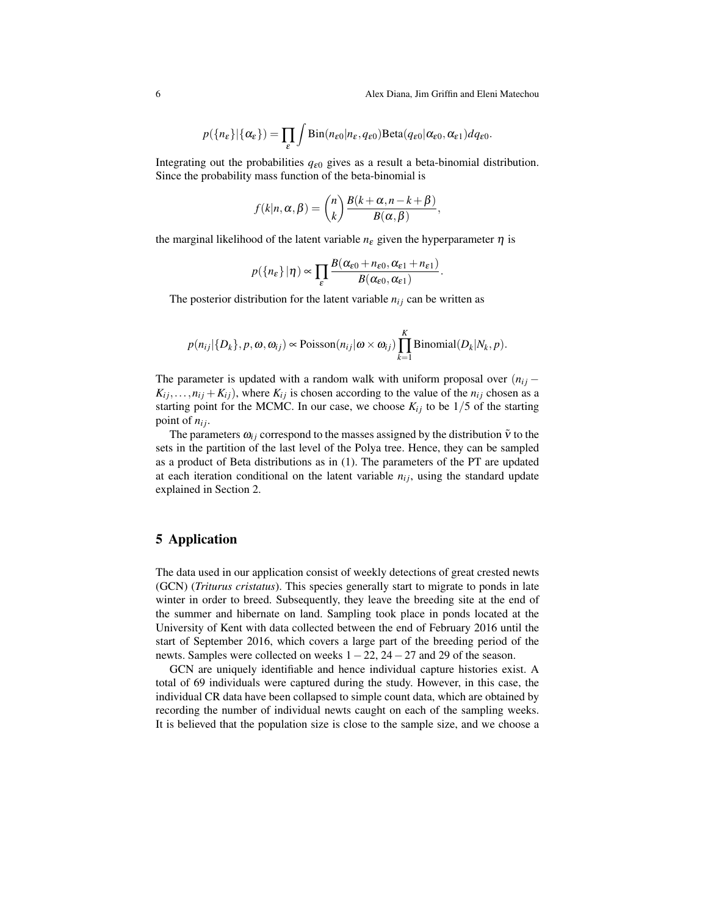$$
p(\lbrace n_{\varepsilon}\rbrace|\lbrace \alpha_{\varepsilon}\rbrace)=\prod_{\varepsilon}\int Bin(n_{\varepsilon 0}|n_{\varepsilon},q_{\varepsilon 0})Beta(q_{\varepsilon 0}|\alpha_{\varepsilon 0},\alpha_{\varepsilon 1})dq_{\varepsilon 0}.
$$

Integrating out the probabilities  $q_{\epsilon 0}$  gives as a result a beta-binomial distribution. Since the probability mass function of the beta-binomial is

$$
f(k|n, \alpha, \beta) = {n \choose k} \frac{B(k+\alpha, n-k+\beta)}{B(\alpha, \beta)},
$$

the marginal likelihood of the latent variable  $n_{\varepsilon}$  given the hyperparameter  $\eta$  is

$$
p({n_{\varepsilon}}|\eta) \propto \prod_{\varepsilon} \frac{B(\alpha_{\varepsilon 0}+n_{\varepsilon 0},\alpha_{\varepsilon 1}+n_{\varepsilon 1})}{B(\alpha_{\varepsilon 0},\alpha_{\varepsilon 1})}.
$$

The posterior distribution for the latent variable  $n_{ij}$  can be written as

$$
p(n_{ij}|\{D_k\}, p, \omega, \omega_{ij}) \propto \text{Poisson}(n_{ij}|\omega \times \omega_{ij}) \prod_{k=1}^K \text{Binomial}(D_k|N_k, p).
$$

The parameter is updated with a random walk with uniform proposal over  $(n_{ij} K_{ij}, \ldots, n_{ij} + K_{ij}$ , where  $K_{ij}$  is chosen according to the value of the  $n_{ij}$  chosen as a starting point for the MCMC. In our case, we choose  $K_{ij}$  to be 1/5 of the starting point of  $n_{ij}$ .

The parameters  $\omega_{ij}$  correspond to the masses assigned by the distribution  $\tilde{v}$  to the sets in the partition of the last level of the Polya tree. Hence, they can be sampled as a product of Beta distributions as in (1). The parameters of the PT are updated at each iteration conditional on the latent variable  $n_{ij}$ , using the standard update explained in Section 2.

#### 5 Application

The data used in our application consist of weekly detections of great crested newts (GCN) (*Triturus cristatus*). This species generally start to migrate to ponds in late winter in order to breed. Subsequently, they leave the breeding site at the end of the summer and hibernate on land. Sampling took place in ponds located at the University of Kent with data collected between the end of February 2016 until the start of September 2016, which covers a large part of the breeding period of the newts. Samples were collected on weeks 1 − 22, 24 − 27 and 29 of the season.

GCN are uniquely identifiable and hence individual capture histories exist. A total of 69 individuals were captured during the study. However, in this case, the individual CR data have been collapsed to simple count data, which are obtained by recording the number of individual newts caught on each of the sampling weeks. It is believed that the population size is close to the sample size, and we choose a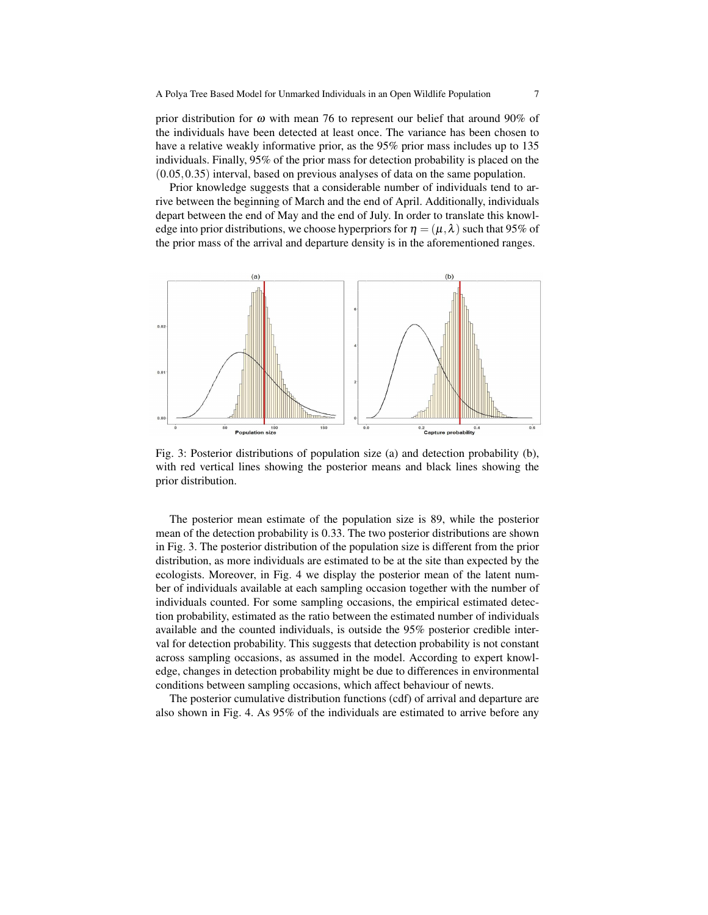prior distribution for  $\omega$  with mean 76 to represent our belief that around 90% of the individuals have been detected at least once. The variance has been chosen to have a relative weakly informative prior, as the 95% prior mass includes up to 135 individuals. Finally, 95% of the prior mass for detection probability is placed on the (0.05,0.35) interval, based on previous analyses of data on the same population.

Prior knowledge suggests that a considerable number of individuals tend to arrive between the beginning of March and the end of April. Additionally, individuals depart between the end of May and the end of July. In order to translate this knowledge into prior distributions, we choose hyperpriors for  $\eta = (\mu, \lambda)$  such that 95% of the prior mass of the arrival and departure density is in the aforementioned ranges.



Fig. 3: Posterior distributions of population size (a) and detection probability (b), with red vertical lines showing the posterior means and black lines showing the prior distribution.

The posterior mean estimate of the population size is 89, while the posterior mean of the detection probability is 0.33. The two posterior distributions are shown in Fig. 3. The posterior distribution of the population size is different from the prior distribution, as more individuals are estimated to be at the site than expected by the ecologists. Moreover, in Fig. 4 we display the posterior mean of the latent number of individuals available at each sampling occasion together with the number of individuals counted. For some sampling occasions, the empirical estimated detection probability, estimated as the ratio between the estimated number of individuals available and the counted individuals, is outside the 95% posterior credible interval for detection probability. This suggests that detection probability is not constant across sampling occasions, as assumed in the model. According to expert knowledge, changes in detection probability might be due to differences in environmental conditions between sampling occasions, which affect behaviour of newts.

The posterior cumulative distribution functions (cdf) of arrival and departure are also shown in Fig. 4. As 95% of the individuals are estimated to arrive before any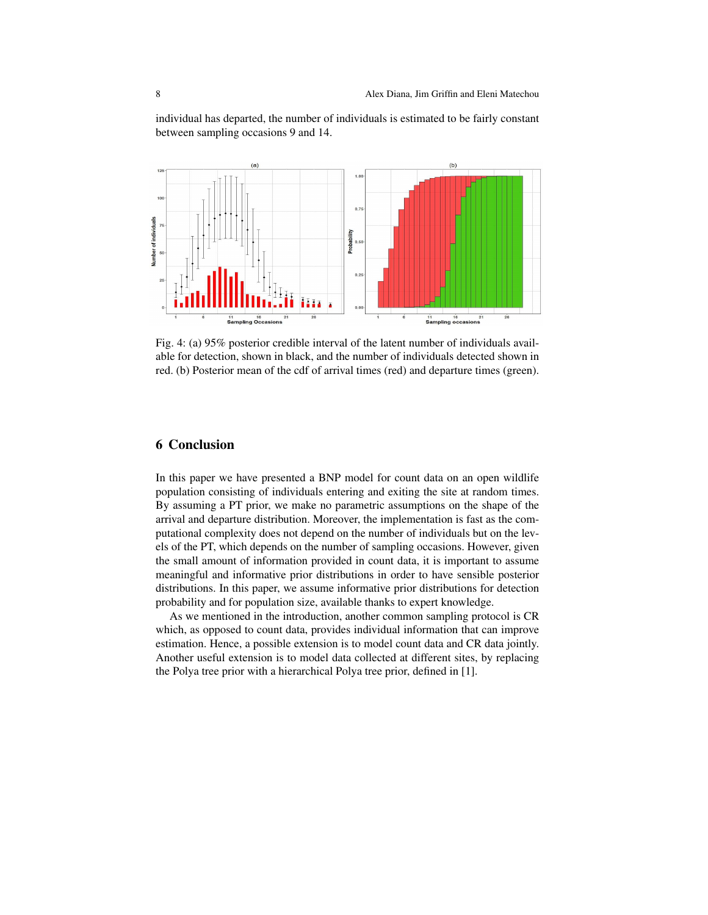individual has departed, the number of individuals is estimated to be fairly constant between sampling occasions 9 and 14.



Fig. 4: (a) 95% posterior credible interval of the latent number of individuals available for detection, shown in black, and the number of individuals detected shown in red. (b) Posterior mean of the cdf of arrival times (red) and departure times (green).

#### 6 Conclusion

In this paper we have presented a BNP model for count data on an open wildlife population consisting of individuals entering and exiting the site at random times. By assuming a PT prior, we make no parametric assumptions on the shape of the arrival and departure distribution. Moreover, the implementation is fast as the computational complexity does not depend on the number of individuals but on the levels of the PT, which depends on the number of sampling occasions. However, given the small amount of information provided in count data, it is important to assume meaningful and informative prior distributions in order to have sensible posterior distributions. In this paper, we assume informative prior distributions for detection probability and for population size, available thanks to expert knowledge.

As we mentioned in the introduction, another common sampling protocol is CR which, as opposed to count data, provides individual information that can improve estimation. Hence, a possible extension is to model count data and CR data jointly. Another useful extension is to model data collected at different sites, by replacing the Polya tree prior with a hierarchical Polya tree prior, defined in [1].